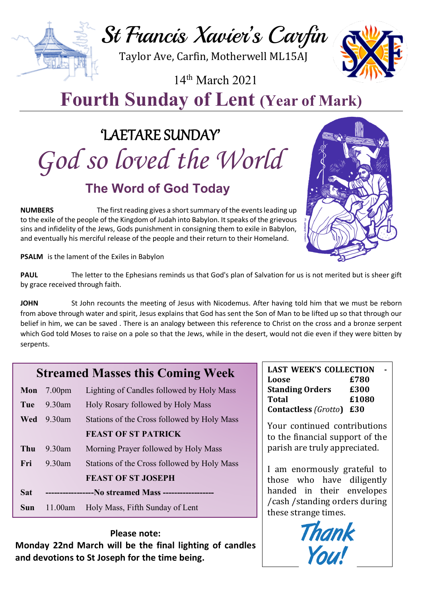# St Francis Xavier's Carfin

Taylor Ave, Carfin, Motherwell ML15AJ

14th March 2021

## **Fourth Sunday of Lent (Year of Mark)**

## 'LAETARE SUNDAY' *God so loved the World* **The Word of God Today**

**NUMBERS** The first reading gives a short summary of the events leading up to the exile of the people of the Kingdom of Judah into Babylon. It speaks of the grievous sins and infidelity of the Jews, Gods punishment in consigning them to exile in Babylon, and eventually his merciful release of the people and their return to their Homeland.

**PSALM** is the lament of the Exiles in Babylon

PAUL The letter to the Ephesians reminds us that God's plan of Salvation for us is not merited but is sheer gift by grace received through faith.

JOHN St John recounts the meeting of Jesus with Nicodemus. After having told him that we must be reborn from above through water and spirit, Jesus explains that God has sent the Son of Man to be lifted up so that through our belief in him, we can be saved . There is an analogy between this reference to Christ on the cross and a bronze serpent which God told Moses to raise on a pole so that the Jews, while in the desert, would not die even if they were bitten by serpents.

## **Streamed Masses this Coming Week**

| Mon        | 7.00 <sub>pm</sub>                                   | Lighting of Candles followed by Holy Mass   |
|------------|------------------------------------------------------|---------------------------------------------|
| Tue        | $9.30$ am                                            | Holy Rosary followed by Holy Mass           |
| Wed        | $9.30$ am                                            | Stations of the Cross followed by Holy Mass |
|            |                                                      | <b>FEAST OF ST PATRICK</b>                  |
| Thu        | $9.30$ am                                            | Morning Prayer followed by Holy Mass        |
| Fri        | $9.30$ am                                            | Stations of the Cross followed by Holy Mass |
|            |                                                      | <b>FEAST OF ST JOSEPH</b>                   |
| <b>Sat</b> | -----------------No streamed Mass ------------------ |                                             |
| Sun        | 11.00am                                              | Holy Mass, Fifth Sunday of Lent             |

#### **Please note:**

**Monday 22nd March will be the final lighting of candles and devotions to St Joseph for the time being.** 

| <b>LAST WEEK'S COLLECTION</b>   |       |  |  |
|---------------------------------|-------|--|--|
| Loose                           | £780  |  |  |
| <b>Standing Orders</b>          | £300  |  |  |
| Total                           | £1080 |  |  |
| <b>Contactless (Grotto) £30</b> |       |  |  |

Your continued contributions to the financial support of the parish are truly appreciated.

I am enormously grateful to those who have diligently handed in their envelopes /cash /standing orders during these strange times.







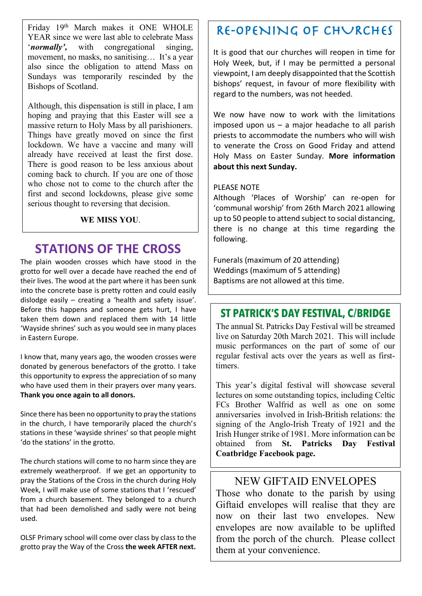Friday 19th March makes it ONE WHOLE YEAR since we were last able to celebrate Mass '*normally',* with congregational singing, movement, no masks, no sanitising… It's a year also since the obligation to attend Mass on Sundays was temporarily rescinded by the Bishops of Scotland.

Although, this dispensation is still in place, I am hoping and praying that this Easter will see a massive return to Holy Mass by all parishioners. Things have greatly moved on since the first lockdown. We have a vaccine and many will already have received at least the first dose. There is good reason to be less anxious about coming back to church. If you are one of those who chose not to come to the church after the first and second lockdowns, please give some serious thought to reversing that decision.

#### **WE MISS YOU**.

### **STATIONS OF THE CROSS**

The plain wooden crosses which have stood in the grotto for well over a decade have reached the end of their lives. The wood at the part where it has been sunk into the concrete base is pretty rotten and could easily dislodge easily – creating a 'health and safety issue'. Before this happens and someone gets hurt, I have taken them down and replaced them with 14 little 'Wayside shrines' such as you would see in many places in Eastern Europe.

I know that, many years ago, the wooden crosses were donated by generous benefactors of the grotto. I take this opportunity to express the appreciation of so many who have used them in their prayers over many years. **Thank you once again to all donors.**

Since there has been no opportunity to pray the stations in the church, I have temporarily placed the church's stations in these 'wayside shrines' so that people might 'do the stations' in the grotto.

The church stations will come to no harm since they are extremely weatherproof. If we get an opportunity to pray the Stations of the Cross in the church during Holy Week, I will make use of some stations that I 'rescued' from a church basement. They belonged to a church that had been demolished and sadly were not being used.

OLSF Primary school will come over class by class to the grotto pray the Way of the Cross **the week AFTER next.**

## RE-OPENING OF CHURCHES

It is good that our churches will reopen in time for Holy Week, but, if I may be permitted a personal viewpoint, I am deeply disappointed that the Scottish bishops' request, in favour of more flexibility with regard to the numbers, was not heeded.

We now have now to work with the limitations imposed upon us – a major headache to all parish priests to accommodate the numbers who will wish to venerate the Cross on Good Friday and attend Holy Mass on Easter Sunday. **More information about this next Sunday.**

#### PLEASE NOTE

Although 'Places of Worship' can re-open for 'communal worship' from 26th March 2021 allowing up to 50 people to attend subject to social distancing, there is no change at this time regarding the following.

Funerals (maximum of 20 attending) Weddings (maximum of 5 attending) Baptisms are not allowed at this time.

### **ST PATRICK'S DAY FESTIVAL, C/BRIDGE**

The annual St. Patricks Day Festival will be streamed live on Saturday 20th March 2021. This will include music performances on the part of some of our regular festival acts over the years as well as firsttimers.

This year's digital festival will showcase several lectures on some outstanding topics, including Celtic FCs Brother Walfrid as well as one on some anniversaries involved in Irish-British relations: the signing of the Anglo-Irish Treaty of 1921 and the Irish Hunger strike of 1981. More information can be obtained from **St. Patricks Day Festival Coatbridge Facebook page.**

#### NEW GIFTAID ENVELOPES

Those who donate to the parish by using Giftaid envelopes will realise that they are now on their last two envelopes. New envelopes are now available to be uplifted from the porch of the church. Please collect them at your convenience.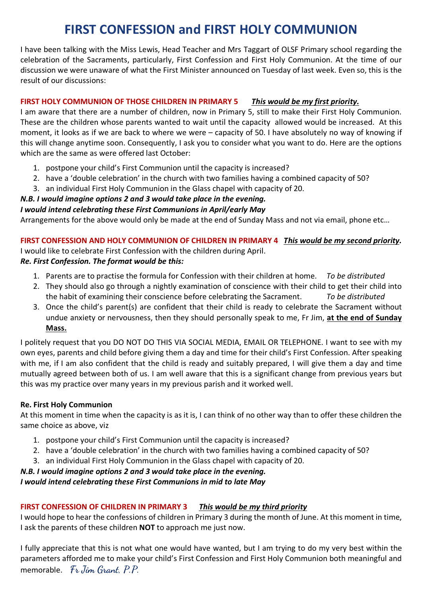## **FIRST CONFESSION and FIRST HOLY COMMUNION**

I have been talking with the Miss Lewis, Head Teacher and Mrs Taggart of OLSF Primary school regarding the celebration of the Sacraments, particularly, First Confession and First Holy Communion. At the time of our discussion we were unaware of what the First Minister announced on Tuesday of last week. Even so, this is the result of our discussions:

#### **FIRST HOLY COMMUNION OF THOSE CHILDREN IN PRIMARY 5** *This would be my first priority.*

I am aware that there are a number of children, now in Primary 5, still to make their First Holy Communion. These are the children whose parents wanted to wait until the capacity allowed would be increased. At this moment, it looks as if we are back to where we were – capacity of 50. I have absolutely no way of knowing if this will change anytime soon. Consequently, I ask you to consider what you want to do. Here are the options which are the same as were offered last October:

- 1. postpone your child's First Communion until the capacity is increased?
- 2. have a 'double celebration' in the church with two families having a combined capacity of 50?
- 3. an individual First Holy Communion in the Glass chapel with capacity of 20.

#### *N.B. I would imagine options 2 and 3 would take place in the evening.*

#### *I would intend celebrating these First Communions in April/early May*

Arrangements for the above would only be made at the end of Sunday Mass and not via email, phone etc…

#### **FIRST CONFESSION AND HOLY COMMUNION OF CHILDREN IN PRIMARY 4** *This would be my second priority.*

I would like to celebrate First Confession with the children during April.

#### *Re. First Confession. The format would be this:*

- 1. Parents are to practise the formula for Confession with their children at home. *To be distributed*
- 2. They should also go through a nightly examination of conscience with their child to get their child into the habit of examining their conscience before celebrating the Sacrament. *To be distributed*
- 3. Once the child's parent(s) are confident that their child is ready to celebrate the Sacrament without undue anxiety or nervousness, then they should personally speak to me, Fr Jim, **at the end of Sunday Mass.**

I politely request that you DO NOT DO THIS VIA SOCIAL MEDIA, EMAIL OR TELEPHONE. I want to see with my own eyes, parents and child before giving them a day and time for their child's First Confession. After speaking with me, if I am also confident that the child is ready and suitably prepared, I will give them a day and time mutually agreed between both of us. I am well aware that this is a significant change from previous years but this was my practice over many years in my previous parish and it worked well.

#### **Re. First Holy Communion**

At this moment in time when the capacity is as it is, I can think of no other way than to offer these children the same choice as above, viz

- 1. postpone your child's First Communion until the capacity is increased?
- 2. have a 'double celebration' in the church with two families having a combined capacity of 50?
- 3. an individual First Holy Communion in the Glass chapel with capacity of 20.

#### *N.B. I would imagine options 2 and 3 would take place in the evening.*

#### *I would intend celebrating these First Communions in mid to late May*

#### **FIRST CONFESSION OF CHILDREN IN PRIMARY 3** *This would be my third priority*

I would hope to hear the confessions of children in Primary 3 during the month of June. At this moment in time, I ask the parents of these children **NOT** to approach me just now.

I fully appreciate that this is not what one would have wanted, but I am trying to do my very best within the parameters afforded me to make your child's First Confession and First Holy Communion both meaningful and memorable. **Fr Jim Grant, P.P.**